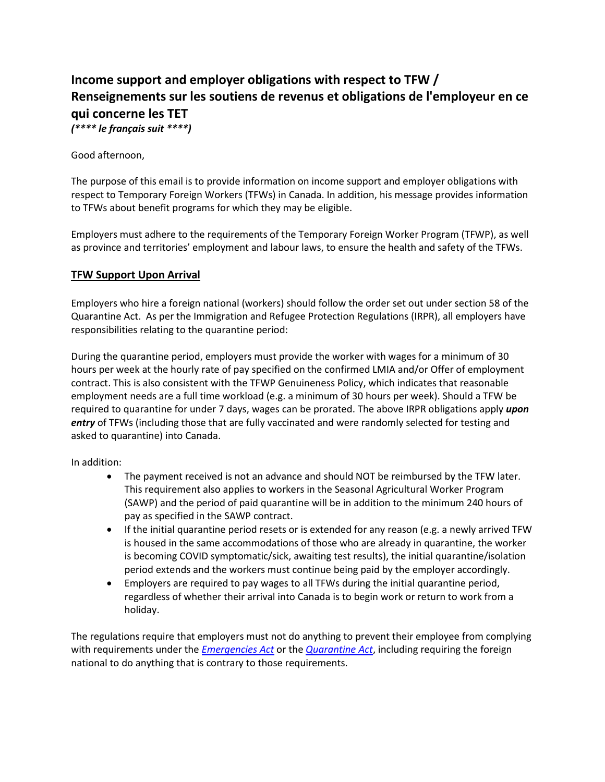# **Income support and employer obligations with respect to TFW / Renseignements sur les soutiens de revenus et obligations de l'employeur en ce qui concerne les TET** *(\*\*\*\* le français suit \*\*\*\*)*

Good afternoon,

The purpose of this email is to provide information on income support and employer obligations with respect to Temporary Foreign Workers (TFWs) in Canada. In addition, his message provides information to TFWs about benefit programs for which they may be eligible.

Employers must adhere to the requirements of the Temporary Foreign Worker Program (TFWP), as well as province and territories' employment and labour laws, to ensure the health and safety of the TFWs.

## **TFW Support Upon Arrival**

Employers who hire a foreign national (workers) should follow the order set out under section 58 of the Quarantine Act. As per the Immigration and Refugee Protection Regulations (IRPR), all employers have responsibilities relating to the quarantine period:

During the quarantine period, employers must provide the worker with wages for a minimum of 30 hours per week at the hourly rate of pay specified on the confirmed LMIA and/or Offer of employment contract. This is also consistent with the TFWP Genuineness Policy, which indicates that reasonable employment needs are a full time workload (e.g. a minimum of 30 hours per week). Should a TFW be required to quarantine for under 7 days, wages can be prorated. The above IRPR obligations apply *upon entry* of TFWs (including those that are fully vaccinated and were randomly selected for testing and asked to quarantine) into Canada.

In addition:

- The payment received is not an advance and should NOT be reimbursed by the TFW later. This requirement also applies to workers in the Seasonal Agricultural Worker Program (SAWP) and the period of paid quarantine will be in addition to the minimum 240 hours of pay as specified in the SAWP contract.
- If the initial quarantine period resets or is extended for any reason (e.g. a newly arrived TFW is housed in the same accommodations of those who are already in quarantine, the worker is becoming COVID symptomatic/sick, awaiting test results), the initial quarantine/isolation period extends and the workers must continue being paid by the employer accordingly.
- Employers are required to pay wages to all TFWs during the initial quarantine period, regardless of whether their arrival into Canada is to begin work or return to work from a holiday.

The regulations require that employers must not do anything to prevent their employee from complying with requirements under the *[Emergencies Act](https://laws-lois.justice.gc.ca/eng/acts/e-4.5/index.html)* or the *[Quarantine Act](https://laws-lois.justice.gc.ca/eng/acts/q-1.1/page-1.html)*, including requiring the foreign national to do anything that is contrary to those requirements.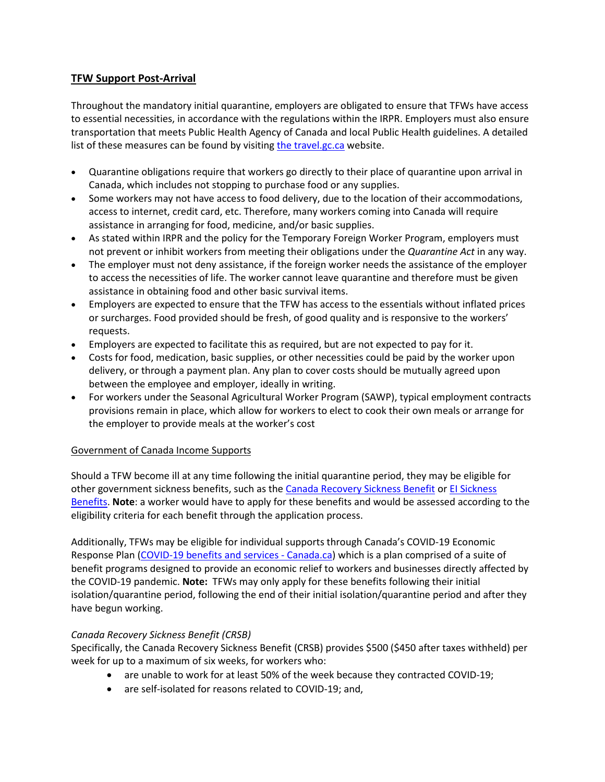# **TFW Support Post-Arrival**

Throughout the mandatory initial quarantine, employers are obligated to ensure that TFWs have access to essential necessities, in accordance with the regulations within the IRPR. Employers must also ensure transportation that meets Public Health Agency of Canada and local Public Health guidelines. A detailed list of [the](https://travel.gc.ca/travel-covid/travel-restrictions/isolation#quarantine)se measures can be found by visiting the [travel.gc.ca](https://travel.gc.ca/travel-covid/travel-restrictions/isolation#quarantine) website.

- Quarantine obligations require that workers go directly to their place of quarantine upon arrival in Canada, which includes not stopping to purchase food or any supplies.
- Some workers may not have access to food delivery, due to the location of their accommodations, access to internet, credit card, etc. Therefore, many workers coming into Canada will require assistance in arranging for food, medicine, and/or basic supplies.
- As stated within IRPR and the policy for the Temporary Foreign Worker Program, employers must not prevent or inhibit workers from meeting their obligations under the *Quarantine Act* in any way.
- The employer must not deny assistance, if the foreign worker needs the assistance of the employer to access the necessities of life. The worker cannot leave quarantine and therefore must be given assistance in obtaining food and other basic survival items.
- Employers are expected to ensure that the TFW has access to the essentials without inflated prices or surcharges. Food provided should be fresh, of good quality and is responsive to the workers' requests.
- Employers are expected to facilitate this as required, but are not expected to pay for it.
- Costs for food, medication, basic supplies, or other necessities could be paid by the worker upon delivery, or through a payment plan. Any plan to cover costs should be mutually agreed upon between the employee and employer, ideally in writing.
- For workers under the Seasonal Agricultural Worker Program (SAWP), typical employment contracts provisions remain in place, which allow for workers to elect to cook their own meals or arrange for the employer to provide meals at the worker's cost

## Government of Canada Income Supports

Should a TFW become ill at any time following the initial quarantine period, they may be eligible for other government sickness benefits, such as the [Canada Recovery Sickness Benefit](https://www.canada.ca/en/revenue-agency/services/benefits/recovery-sickness-benefit.html) or El Sickness [Benefits.](https://www.canada.ca/en/services/benefits/ei/ei-sickness.html) **Note**: a worker would have to apply for these benefits and would be assessed according to the eligibility criteria for each benefit through the application process.

Additionally, TFWs may be eligible for individual supports through Canada's COVID-19 Economic Response Plan [\(COVID-19 benefits and services -](https://www.canada.ca/en/services/benefits/covid19-emergency-benefits.html) Canada.ca) which is a plan comprised of a suite of benefit programs designed to provide an economic relief to workers and businesses directly affected by the COVID-19 pandemic. **Note:** TFWs may only apply for these benefits following their initial isolation/quarantine period, following the end of their initial isolation/quarantine period and after they have begun working.

## *Canada Recovery Sickness Benefit (CRSB)*

Specifically, the Canada Recovery Sickness Benefit (CRSB) provides \$500 (\$450 after taxes withheld) per week for up to a maximum of six weeks, for workers who:

- are unable to work for at least 50% of the week because they contracted COVID-19;
- are self-isolated for reasons related to COVID-19; and,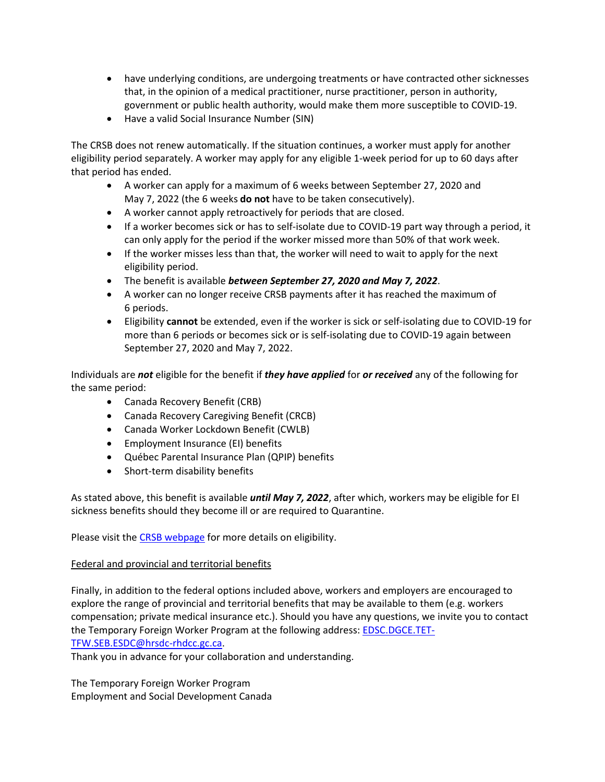- have underlying conditions, are undergoing treatments or have contracted other sicknesses that, in the opinion of a medical practitioner, nurse practitioner, person in authority, government or public health authority, would make them more susceptible to COVID-19.
- Have a valid Social Insurance Number (SIN)

The CRSB does not renew automatically. If the situation continues, a worker must apply for another eligibility period separately. A worker may apply for any eligible 1-week period for up to 60 days after that period has ended.

- A worker can apply for a maximum of 6 weeks between September 27, 2020 and May 7, 2022 (the 6 weeks **do not** have to be taken consecutively).
- A worker cannot apply retroactively for periods that are closed.
- If a worker becomes sick or has to self-isolate due to COVID-19 part way through a period, it can only apply for the period if the worker missed more than 50% of that work week.
- If the worker misses less than that, the worker will need to wait to apply for the next eligibility period.
- The benefit is available *between September 27, 2020 and May 7, 2022*.
- A worker can no longer receive CRSB payments after it has reached the maximum of 6 periods.
- Eligibility **cannot** be extended, even if the worker is sick or self-isolating due to COVID-19 for more than 6 periods or becomes sick or is self-isolating due to COVID-19 again between September 27, 2020 and May 7, 2022.

Individuals are *not* eligible for the benefit if *they have applied* for *or received* any of the following for the same period:

- Canada Recovery Benefit (CRB)
- Canada Recovery Caregiving Benefit (CRCB)
- Canada Worker Lockdown Benefit (CWLB)
- Employment Insurance (EI) benefits
- Québec Parental Insurance Plan (QPIP) benefits
- Short-term disability benefits

As stated above, this benefit is available *until May 7, 2022*, after which, workers may be eligible for EI sickness benefits should they become ill or are required to Quarantine.

Please visit the [CRSB webpage](https://www.canada.ca/en/revenue-agency/services/benefits/recovery-sickness-benefit/crsb-who-apply.html) for more details on eligibility.

## Federal and provincial and territorial benefits

Finally, in addition to the federal options included above, workers and employers are encouraged to explore the range of provincial and territorial benefits that may be available to them (e.g. workers compensation; private medical insurance etc.). Should you have any questions, we invite you to contact the Temporary Foreign Worker Program at the following address: EDSC.DGCE.TET-TFW.SEB.ESDC@hrsdc-rhdcc.gc.ca.

Thank you in advance for your collaboration and understanding.

The Temporary Foreign Worker Program Employment and Social Development Canada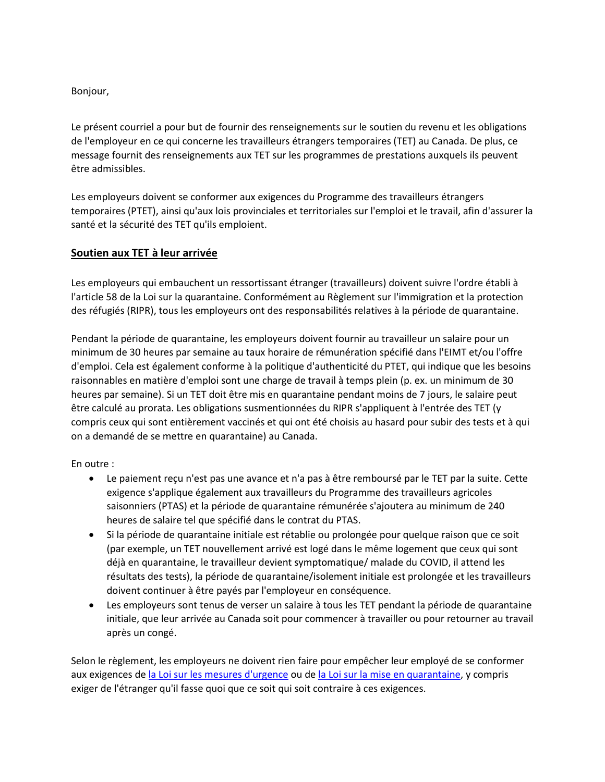Bonjour,

Le présent courriel a pour but de fournir des renseignements sur le soutien du revenu et les obligations de l'employeur en ce qui concerne les travailleurs étrangers temporaires (TET) au Canada. De plus, ce message fournit des renseignements aux TET sur les programmes de prestations auxquels ils peuvent être admissibles.

Les employeurs doivent se conformer aux exigences du Programme des travailleurs étrangers temporaires (PTET), ainsi qu'aux lois provinciales et territoriales sur l'emploi et le travail, afin d'assurer la santé et la sécurité des TET qu'ils emploient.

## **Soutien aux TET à leur arrivée**

Les employeurs qui embauchent un ressortissant étranger (travailleurs) doivent suivre l'ordre établi à l'article 58 de la Loi sur la quarantaine. Conformément au Règlement sur l'immigration et la protection des réfugiés (RIPR), tous les employeurs ont des responsabilités relatives à la période de quarantaine.

Pendant la période de quarantaine, les employeurs doivent fournir au travailleur un salaire pour un minimum de 30 heures par semaine au taux horaire de rémunération spécifié dans l'EIMT et/ou l'offre d'emploi. Cela est également conforme à la politique d'authenticité du PTET, qui indique que les besoins raisonnables en matière d'emploi sont une charge de travail à temps plein (p. ex. un minimum de 30 heures par semaine). Si un TET doit être mis en quarantaine pendant moins de 7 jours, le salaire peut être calculé au prorata. Les obligations susmentionnées du RIPR s'appliquent à l'entrée des TET (y compris ceux qui sont entièrement vaccinés et qui ont été choisis au hasard pour subir des tests et à qui on a demandé de se mettre en quarantaine) au Canada.

En outre :

- Le paiement reçu n'est pas une avance et n'a pas à être remboursé par le TET par la suite. Cette exigence s'applique également aux travailleurs du Programme des travailleurs agricoles saisonniers (PTAS) et la période de quarantaine rémunérée s'ajoutera au minimum de 240 heures de salaire tel que spécifié dans le contrat du PTAS.
- Si la période de quarantaine initiale est rétablie ou prolongée pour quelque raison que ce soit (par exemple, un TET nouvellement arrivé est logé dans le même logement que ceux qui sont déjà en quarantaine, le travailleur devient symptomatique/ malade du COVID, il attend les résultats des tests), la période de quarantaine/isolement initiale est prolongée et les travailleurs doivent continuer à être payés par l'employeur en conséquence.
- Les employeurs sont tenus de verser un salaire à tous les TET pendant la période de quarantaine initiale, que leur arrivée au Canada soit pour commencer à travailler ou pour retourner au travail après un congé.

Selon le règlement, les employeurs ne doivent rien faire pour empêcher leur employé de se conformer aux exigences de [la Loi sur les mesures d'urgence](https://laws-lois.justice.gc.ca/fra/lois/e-4.5/index.html) ou de [la Loi sur la mise en quarantaine,](https://laws-lois.justice.gc.ca/fra/lois/q-1.1/index.html) y compris exiger de l'étranger qu'il fasse quoi que ce soit qui soit contraire à ces exigences.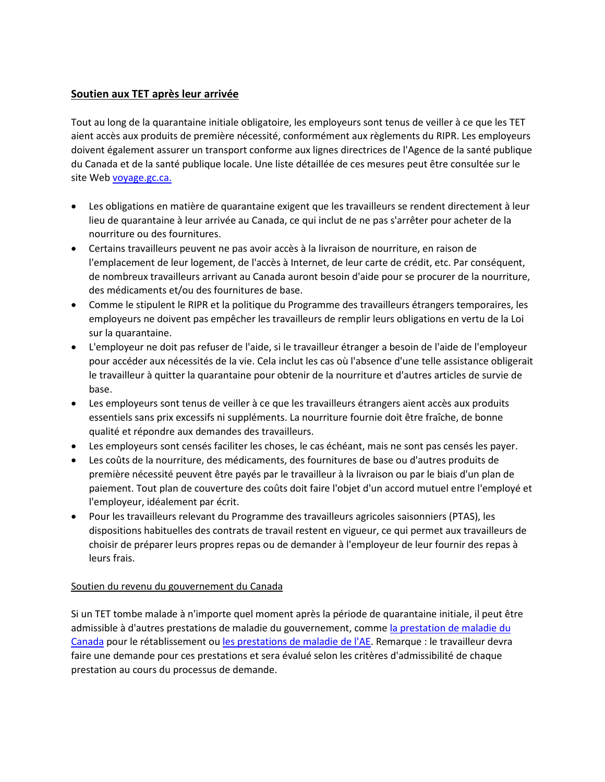# **Soutien aux TET après leur arrivée**

Tout au long de la quarantaine initiale obligatoire, les employeurs sont tenus de veiller à ce que les TET aient accès aux produits de première nécessité, conformément aux règlements du RIPR. Les employeurs doivent également assurer un transport conforme aux lignes directrices de l'Agence de la santé publique du Canada et de la santé publique locale. Une liste détaillée de ces mesures peut être consultée sur le site Web [voyage.gc.ca.](https://voyage.gc.ca/voyage-covid/voyage-restrictions/isolement?_ga=2.191872618.11906525.1643388261-544951783.1640296645)

- Les obligations en matière de quarantaine exigent que les travailleurs se rendent directement à leur lieu de quarantaine à leur arrivée au Canada, ce qui inclut de ne pas s'arrêter pour acheter de la nourriture ou des fournitures.
- Certains travailleurs peuvent ne pas avoir accès à la livraison de nourriture, en raison de l'emplacement de leur logement, de l'accès à Internet, de leur carte de crédit, etc. Par conséquent, de nombreux travailleurs arrivant au Canada auront besoin d'aide pour se procurer de la nourriture, des médicaments et/ou des fournitures de base.
- Comme le stipulent le RIPR et la politique du Programme des travailleurs étrangers temporaires, les employeurs ne doivent pas empêcher les travailleurs de remplir leurs obligations en vertu de la Loi sur la quarantaine.
- L'employeur ne doit pas refuser de l'aide, si le travailleur étranger a besoin de l'aide de l'employeur pour accéder aux nécessités de la vie. Cela inclut les cas où l'absence d'une telle assistance obligerait le travailleur à quitter la quarantaine pour obtenir de la nourriture et d'autres articles de survie de base.
- Les employeurs sont tenus de veiller à ce que les travailleurs étrangers aient accès aux produits essentiels sans prix excessifs ni suppléments. La nourriture fournie doit être fraîche, de bonne qualité et répondre aux demandes des travailleurs.
- Les employeurs sont censés faciliter les choses, le cas échéant, mais ne sont pas censés les payer.
- Les coûts de la nourriture, des médicaments, des fournitures de base ou d'autres produits de première nécessité peuvent être payés par le travailleur à la livraison ou par le biais d'un plan de paiement. Tout plan de couverture des coûts doit faire l'objet d'un accord mutuel entre l'employé et l'employeur, idéalement par écrit.
- Pour les travailleurs relevant du Programme des travailleurs agricoles saisonniers (PTAS), les dispositions habituelles des contrats de travail restent en vigueur, ce qui permet aux travailleurs de choisir de préparer leurs propres repas ou de demander à l'employeur de leur fournir des repas à leurs frais.

## Soutien du revenu du gouvernement du Canada

Si un TET tombe malade à n'importe quel moment après la période de quarantaine initiale, il peut être admissible à d'autres prestations de maladie du gouvernement, comme la prestation de maladie du [Canada](https://www.canada.ca/fr/agence-revenu/services/prestations/prestation-maladie-relance-economique.html) pour le rétablissement ou [les prestations de maladie de l'AE.](https://www.canada.ca/fr/services/prestations/ae/assurance-emploi-maladie.html) Remarque : le travailleur devra faire une demande pour ces prestations et sera évalué selon les critères d'admissibilité de chaque prestation au cours du processus de demande.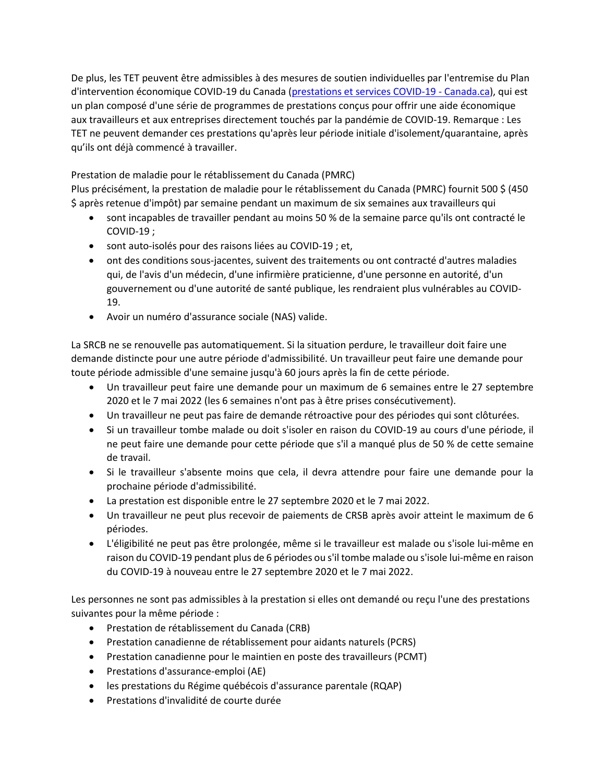De plus, les TET peuvent être admissibles à des mesures de soutien individuelles par l'entremise du Plan d'intervention économique COVID-19 du Canada [\(prestations et services COVID-19 -](https://www.canada.ca/fr/ministere-finances/plan-intervention-economique.html) Canada.ca), qui est un plan composé d'une série de programmes de prestations conçus pour offrir une aide économique aux travailleurs et aux entreprises directement touchés par la pandémie de COVID-19. Remarque : Les TET ne peuvent demander ces prestations qu'après leur période initiale d'isolement/quarantaine, après qu'ils ont déjà commencé à travailler.

# Prestation de maladie pour le rétablissement du Canada (PMRC)

Plus précisément, la prestation de maladie pour le rétablissement du Canada (PMRC) fournit 500 \$ (450 \$ après retenue d'impôt) par semaine pendant un maximum de six semaines aux travailleurs qui

- sont incapables de travailler pendant au moins 50 % de la semaine parce qu'ils ont contracté le COVID-19 ;
- sont auto-isolés pour des raisons liées au COVID-19 ; et,
- ont des conditions sous-jacentes, suivent des traitements ou ont contracté d'autres maladies qui, de l'avis d'un médecin, d'une infirmière praticienne, d'une personne en autorité, d'un gouvernement ou d'une autorité de santé publique, les rendraient plus vulnérables au COVID-19.
- Avoir un numéro d'assurance sociale (NAS) valide.

La SRCB ne se renouvelle pas automatiquement. Si la situation perdure, le travailleur doit faire une demande distincte pour une autre période d'admissibilité. Un travailleur peut faire une demande pour toute période admissible d'une semaine jusqu'à 60 jours après la fin de cette période.

- Un travailleur peut faire une demande pour un maximum de 6 semaines entre le 27 septembre 2020 et le 7 mai 2022 (les 6 semaines n'ont pas à être prises consécutivement).
- Un travailleur ne peut pas faire de demande rétroactive pour des périodes qui sont clôturées.
- Si un travailleur tombe malade ou doit s'isoler en raison du COVID-19 au cours d'une période, il ne peut faire une demande pour cette période que s'il a manqué plus de 50 % de cette semaine de travail.
- Si le travailleur s'absente moins que cela, il devra attendre pour faire une demande pour la prochaine période d'admissibilité.
- La prestation est disponible entre le 27 septembre 2020 et le 7 mai 2022.
- Un travailleur ne peut plus recevoir de paiements de CRSB après avoir atteint le maximum de 6 périodes.
- L'éligibilité ne peut pas être prolongée, même si le travailleur est malade ou s'isole lui-même en raison du COVID-19 pendant plus de 6 périodes ou s'il tombe malade ou s'isole lui-même en raison du COVID-19 à nouveau entre le 27 septembre 2020 et le 7 mai 2022.

Les personnes ne sont pas admissibles à la prestation si elles ont demandé ou reçu l'une des prestations suivantes pour la même période :

- Prestation de rétablissement du Canada (CRB)
- Prestation canadienne de rétablissement pour aidants naturels (PCRS)
- Prestation canadienne pour le maintien en poste des travailleurs (PCMT)
- Prestations d'assurance-emploi (AE)
- les prestations du Régime québécois d'assurance parentale (RQAP)
- Prestations d'invalidité de courte durée